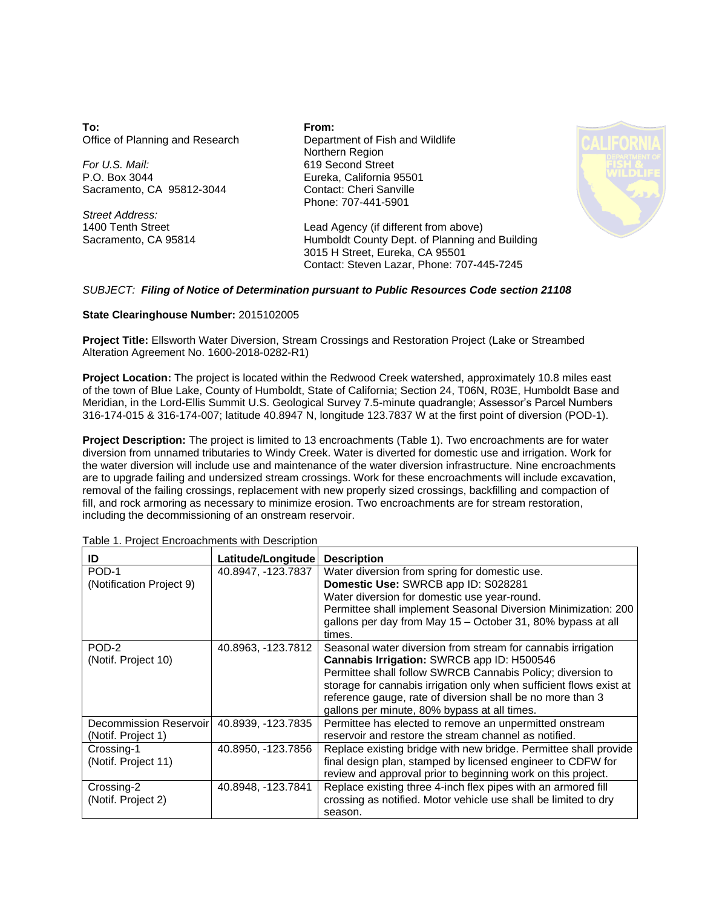**To:** Office of Planning and Research

*For U.S. Mail:* P.O. Box 3044 Sacramento, CA 95812-3044

*Street Address:* 1400 Tenth Street Sacramento, CA 95814 **From:** Department of Fish and Wildlife Northern Region 619 Second Street Eureka, California 95501 Contact: Cheri Sanville Phone: 707-441-5901



Lead Agency (if different from above) Humboldt County Dept. of Planning and Building 3015 H Street, Eureka, CA 95501 Contact: Steven Lazar, Phone: 707-445-7245

## *SUBJECT: Filing of Notice of Determination pursuant to Public Resources Code section 21108*

## **State Clearinghouse Number:** 2015102005

**Project Title:** Ellsworth Water Diversion, Stream Crossings and Restoration Project (Lake or Streambed Alteration Agreement No. 1600-2018-0282-R1)

**Project Location:** The project is located within the Redwood Creek watershed, approximately 10.8 miles east of the town of Blue Lake, County of Humboldt, State of California; Section 24, T06N, R03E, Humboldt Base and Meridian, in the Lord-Ellis Summit U.S. Geological Survey 7.5-minute quadrangle; Assessor's Parcel Numbers 316-174-015 & 316-174-007; latitude 40.8947 N, longitude 123.7837 W at the first point of diversion (POD-1).

**Project Description:** The project is limited to 13 encroachments (Table 1). Two encroachments are for water diversion from unnamed tributaries to Windy Creek. Water is diverted for domestic use and irrigation. Work for the water diversion will include use and maintenance of the water diversion infrastructure. Nine encroachments are to upgrade failing and undersized stream crossings. Work for these encroachments will include excavation, removal of the failing crossings, replacement with new properly sized crossings, backfilling and compaction of fill, and rock armoring as necessary to minimize erosion. Two encroachments are for stream restoration, including the decommissioning of an onstream reservoir.

| ID                       | Latitude/Longitude | <b>Description</b>                                                  |
|--------------------------|--------------------|---------------------------------------------------------------------|
| POD-1                    | 40.8947, -123.7837 | Water diversion from spring for domestic use.                       |
| (Notification Project 9) |                    | Domestic Use: SWRCB app ID: S028281                                 |
|                          |                    | Water diversion for domestic use year-round.                        |
|                          |                    | Permittee shall implement Seasonal Diversion Minimization: 200      |
|                          |                    | gallons per day from May 15 - October 31, 80% bypass at all         |
|                          |                    | times.                                                              |
| POD-2                    | 40.8963, -123.7812 | Seasonal water diversion from stream for cannabis irrigation        |
| (Notif. Project 10)      |                    | Cannabis Irrigation: SWRCB app ID: H500546                          |
|                          |                    | Permittee shall follow SWRCB Cannabis Policy; diversion to          |
|                          |                    | storage for cannabis irrigation only when sufficient flows exist at |
|                          |                    | reference gauge, rate of diversion shall be no more than 3          |
|                          |                    | gallons per minute, 80% bypass at all times.                        |
| Decommission Reservoir   | 40.8939, -123.7835 | Permittee has elected to remove an unpermitted onstream             |
| (Notif. Project 1)       |                    | reservoir and restore the stream channel as notified.               |
| Crossing-1               | 40.8950, -123.7856 | Replace existing bridge with new bridge. Permittee shall provide    |
| (Notif. Project 11)      |                    | final design plan, stamped by licensed engineer to CDFW for         |
|                          |                    | review and approval prior to beginning work on this project.        |
| Crossing-2               | 40.8948, -123.7841 | Replace existing three 4-inch flex pipes with an armored fill       |
| (Notif. Project 2)       |                    | crossing as notified. Motor vehicle use shall be limited to dry     |
|                          |                    | season.                                                             |

Table 1. Project Encroachments with Description